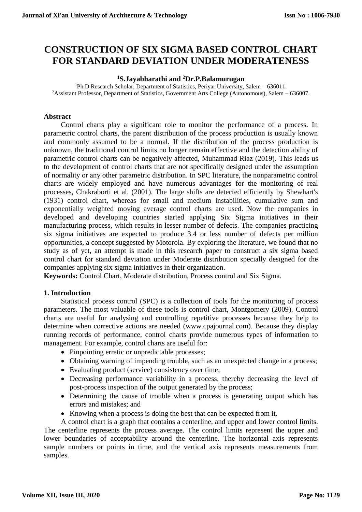# **CONSTRUCTION OF SIX SIGMA BASED CONTROL CHART FOR STANDARD DEVIATION UNDER MODERATENESS**

#### **<sup>1</sup>S.Jayabharathi and <sup>2</sup>Dr.P.Balamurugan**

<sup>1</sup>Ph.D Research Scholar, Department of Statistics, Periyar University, Salem – 636011. <sup>2</sup>Assistant Professor, Department of Statistics, Government Arts College (Autonomous), Salem – 636007.

#### **Abstract**

Control charts play a significant role to monitor the performance of a process. In parametric control charts, the parent distribution of the process production is usually known and commonly assumed to be a normal. If the distribution of the process production is unknown, the traditional control limits no longer remain effective and the detection ability of parametric control charts can be negatively affected, Muhammad Riaz (2019). This leads us to the development of control charts that are not specifically designed under the assumption of normality or any other parametric distribution. In SPC literature, the nonparametric control charts are widely employed and have numerous advantages for the monitoring of real processes, Chakraborti et al. (2001). The large shifts are detected efficiently by Shewhart's (1931) control chart, whereas for small and medium instabilities, cumulative sum and exponentially weighted moving average control charts are used. Now the companies in developed and developing countries started applying Six Sigma initiatives in their manufacturing process, which results in lesser number of defects. The companies practicing six sigma initiatives are expected to produce 3.4 or less number of defects per million opportunities, a concept suggested by Motorola. By exploring the literature, we found that no study as of yet, an attempt is made in this research paper to construct a six sigma based control chart for standard deviation under Moderate distribution specially designed for the companies applying six sigma initiatives in their organization.

**Keywords:** Control Chart, Moderate distribution, Process control and Six Sigma.

#### **1. Introduction**

Statistical process control (SPC) is a collection of tools for the monitoring of process parameters. The most valuable of these tools is control chart, Montgomery (2009). Control charts are useful for analysing and controlling repetitive processes because they help to determine when corrective actions are needed (www.cpajournal.com). Because they display running records of performance, control charts provide numerous types of information to management. For example, control charts are useful for:

- Pinpointing erratic or unpredictable processes;
- Obtaining warning of impending trouble, such as an unexpected change in a process;
- Evaluating product (service) consistency over time;
- Decreasing performance variability in a process, thereby decreasing the level of post-process inspection of the output generated by the process;
- Determining the cause of trouble when a process is generating output which has errors and mistakes; and
- Knowing when a process is doing the best that can be expected from it.

A control chart is a graph that contains a centerline, and upper and lower control limits. The centerline represents the process average. The control limits represent the upper and lower boundaries of acceptability around the centerline. The horizontal axis represents sample numbers or points in time, and the vertical axis represents measurements from samples.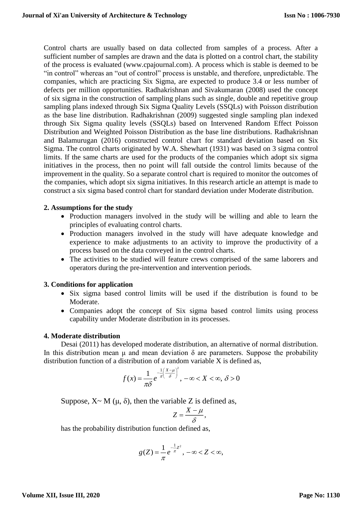Control charts are usually based on data collected from samples of a process. After a sufficient number of samples are drawn and the data is plotted on a control chart, the stability of the process is evaluated (www.cpajournal.com). A process which is stable is deemed to be "in control" whereas an "out of control" process is unstable, and therefore, unpredictable. The companies, which are practicing Six Sigma, are expected to produce 3.4 or less number of defects per million opportunities. Radhakrishnan and Sivakumaran (2008) used the concept of six sigma in the construction of sampling plans such as single, double and repetitive group sampling plans indexed through Six Sigma Quality Levels (SSQLs) with Poisson distribution as the base line distribution. Radhakrishnan (2009) suggested single sampling plan indexed through Six Sigma quality levels (SSQLs) based on Intervened Random Effect Poisson Distribution and Weighted Poisson Distribution as the base line distributions. Radhakrishnan and Balamurugan (2016) constructed control chart for standard deviation based on Six Sigma. The control charts originated by W.A. Shewhart (1931) was based on 3 sigma control limits. If the same charts are used for the products of the companies which adopt six sigma initiatives in the process, then no point will fall outside the control limits because of the improvement in the quality. So a separate control chart is required to monitor the outcomes of the companies, which adopt six sigma initiatives. In this research article an attempt is made to construct a six sigma based control chart for standard deviation under Moderate distribution.

#### **2. Assumptions for the study**

- Production managers involved in the study will be willing and able to learn the principles of evaluating control charts.
- Production managers involved in the study will have adequate knowledge and experience to make adjustments to an activity to improve the productivity of a process based on the data conveyed in the control charts.
- The activities to be studied will feature crews comprised of the same laborers and operators during the pre-intervention and intervention periods.

#### **3. Conditions for application**

- Six sigma based control limits will be used if the distribution is found to be Moderate.
- Companies adopt the concept of Six sigma based control limits using process capability under Moderate distribution in its processes.

#### **4. Moderate distribution**

Desai (2011) has developed moderate distribution, an alternative of normal distribution. In this distribution mean  $\mu$  and mean deviation  $\delta$  are parameters. Suppose the probability distribution function of a distribution of a random variable X is defined as,

$$
f(x) = \frac{1}{\pi \delta} e^{-\frac{1}{\pi} \left(\frac{X-\mu}{\delta}\right)^2}, \ -\infty < X < \infty, \ \delta > 0
$$

Suppose,  $X \sim M(\mu, \delta)$ , then the variable Z is defined as,

$$
Z=\frac{X-\mu}{\delta},
$$

has the probability distribution function defined as,

$$
g(Z) = \frac{1}{\pi} e^{-\frac{1}{\pi}Z^2}, \quad -\infty < Z < \infty,
$$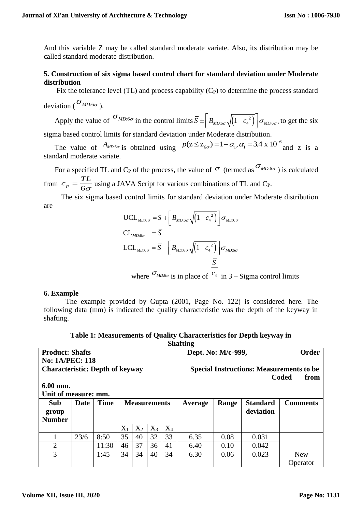And this variable Z may be called standard moderate variate. Also, its distribution may be called standard moderate distribution.

## **5. Construction of six sigma based control chart for standard deviation under Moderate distribution**

Fix the tolerance level (TL) and process capability  $(C<sub>P</sub>)$  to determine the process standard deviation ( $\sigma_{MD:6\sigma}$ ).

Apply the value of  $\sigma_{MD:6\sigma}$  in the control limits  $\bar{S} \pm \left| B_{MD:6\sigma} \sqrt{(1 - c_4^2)} \right|$  $\overline{S} \pm \left[ B_{\text{MD:6}\sigma} \sqrt{\left(1 - c_{4}^{2}\right)} \right] \sigma_{\text{MD:6}\sigma}$ , , to get the six sigma based control limits for standard deviation under Moderate distribution.

The value of  $A_{MD:6\sigma}$  is obtained using  $P(Z \le Z_{6\sigma}) = 1 - \alpha_1, \alpha_1 = 3.4 \times 10^{-6}$  and z is a standard moderate variate.

For a specified TL and C<sub>P</sub> of the process, the value of  $\sigma$  (termed as  $\sigma_{MD:6\sigma}$ ) is calculated from  $c_p = \frac{1}{6}$  $c_{n} = \frac{TL}{L}$  $=\frac{12}{6\sigma}$  using a JAVA Script for various combinations of TL and C<sub>P</sub>.

The six sigma based control limits for standard deviation under Moderate distribution are

$$
\begin{aligned}\n\text{UCL}_{MD:6\sigma} &= \overline{S} + \left[ B_{MD:6\sigma} \sqrt{\left(1 - c_4^2\right)} \right] \sigma_{MD:6\sigma} \\
\text{CL}_{MD:6\sigma} &= \overline{S} \\
\text{LCL}_{MD:6\sigma} &= \overline{S} - \left[ B_{MD:6\sigma} \sqrt{\left(1 - c_4^2\right)} \right] \sigma_{MD:6\sigma} \\
&= \frac{\overline{S}}{\underline{S}}\n\end{aligned}
$$

where  $\sigma_{MD:6\sigma}$  is in place of  $c_4$  in 3 – Sigma control limits

#### **6. Example**

The example provided by Gupta (2001, Page No. 122) is considered here. The following data (mm) is indicated the quality characteristic was the depth of the keyway in shafting.

| <b>Shafting</b>                        |      |             |                     |       |       |                                                 |              |       |                 |                 |  |
|----------------------------------------|------|-------------|---------------------|-------|-------|-------------------------------------------------|--------------|-------|-----------------|-----------------|--|
| <b>Product: Shafts</b>                 |      |             |                     |       |       | Dept. No: M/c-999,                              | <b>Order</b> |       |                 |                 |  |
| <b>No: 1A/PEC: 118</b>                 |      |             |                     |       |       |                                                 |              |       |                 |                 |  |
| <b>Characteristic: Depth of keyway</b> |      |             |                     |       |       | <b>Special Instructions: Measurements to be</b> |              |       |                 |                 |  |
| Coded<br>from                          |      |             |                     |       |       |                                                 |              |       |                 |                 |  |
| 6.00 mm.                               |      |             |                     |       |       |                                                 |              |       |                 |                 |  |
| Unit of measure: mm.                   |      |             |                     |       |       |                                                 |              |       |                 |                 |  |
| Sub                                    | Date | <b>Time</b> | <b>Measurements</b> |       |       |                                                 | Average      | Range | <b>Standard</b> | <b>Comments</b> |  |
| group                                  |      |             |                     |       |       |                                                 |              |       | deviation       |                 |  |
| <b>Number</b>                          |      |             |                     |       |       |                                                 |              |       |                 |                 |  |
|                                        |      |             | $X_1$               | $X_2$ | $X_3$ | $X_4$                                           |              |       |                 |                 |  |
| 1                                      | 23/6 | 8:50        | 35                  | 40    | 32    | 33                                              | 6.35         | 0.08  | 0.031           |                 |  |
| $\overline{2}$                         |      | 11:30       | 46                  | 37    | 36    | 41                                              | 6.40         | 0.10  | 0.042           |                 |  |
| 3                                      |      | 1:45        | 34                  | 34    | 40    | 34                                              | 6.30         | 0.06  | 0.023           | <b>New</b>      |  |
|                                        |      |             |                     |       |       |                                                 |              |       |                 | Operator        |  |

| Table 1: Measurements of Quality Characteristics for Depth keyway in |
|----------------------------------------------------------------------|
| <b>Shafting</b>                                                      |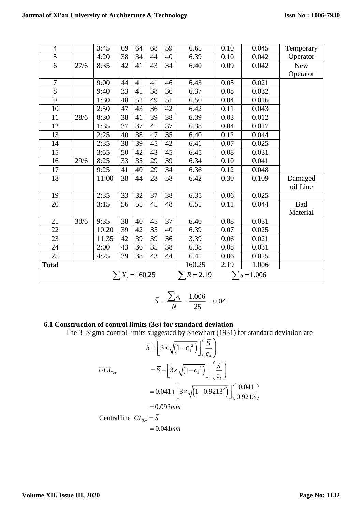| $\overline{4}$                                              |      | 3:45  | 69 | 64 | 68 | 59 | 6.65   | 0.10 | 0.045 | Temporary  |
|-------------------------------------------------------------|------|-------|----|----|----|----|--------|------|-------|------------|
| $\overline{5}$                                              |      | 4:20  | 38 | 34 | 44 | 40 | 6.39   | 0.10 | 0.042 | Operator   |
| 6                                                           | 27/6 | 8:35  | 42 | 41 | 43 | 34 | 6.40   | 0.09 | 0.042 | <b>New</b> |
|                                                             |      |       |    |    |    |    |        |      |       | Operator   |
| $\overline{7}$                                              |      | 9:00  | 44 | 41 | 41 | 46 | 6.43   | 0.05 | 0.021 |            |
| 8                                                           |      | 9:40  | 33 | 41 | 38 | 36 | 6.37   | 0.08 | 0.032 |            |
| 9                                                           |      | 1:30  | 48 | 52 | 49 | 51 | 6.50   | 0.04 | 0.016 |            |
| 10                                                          |      | 2:50  | 47 | 43 | 36 | 42 | 6.42   | 0.11 | 0.043 |            |
| 11                                                          | 28/6 | 8:30  | 38 | 41 | 39 | 38 | 6.39   | 0.03 | 0.012 |            |
| 12                                                          |      | 1:35  | 37 | 37 | 41 | 37 | 6.38   | 0.04 | 0.017 |            |
| 13                                                          |      | 2:25  | 40 | 38 | 47 | 35 | 6.40   | 0.12 | 0.044 |            |
| 14                                                          |      | 2:35  | 38 | 39 | 45 | 42 | 6.41   | 0.07 | 0.025 |            |
| 15                                                          |      | 3:55  | 50 | 42 | 43 | 45 | 6.45   | 0.08 | 0.031 |            |
| 16                                                          | 29/6 | 8:25  | 33 | 35 | 29 | 39 | 6.34   | 0.10 | 0.041 |            |
| 17                                                          |      | 9:25  | 41 | 40 | 29 | 34 | 6.36   | 0.12 | 0.048 |            |
| 18                                                          |      | 11:00 | 38 | 44 | 28 | 58 | 6.42   | 0.30 | 0.109 | Damaged    |
|                                                             |      |       |    |    |    |    |        |      |       | oil Line   |
| 19                                                          |      | 2:35  | 33 | 32 | 37 | 38 | 6.35   | 0.06 | 0.025 |            |
| 20                                                          |      | 3:15  | 56 | 55 | 45 | 48 | 6.51   | 0.11 | 0.044 | <b>Bad</b> |
|                                                             |      |       |    |    |    |    |        |      |       | Material   |
| 21                                                          | 30/6 | 9:35  | 38 | 40 | 45 | 37 | 6.40   | 0.08 | 0.031 |            |
| 22                                                          |      | 10:20 | 39 | 42 | 35 | 40 | 6.39   | 0.07 | 0.025 |            |
| 23                                                          |      | 11:35 | 42 | 39 | 39 | 36 | 3.39   | 0.06 | 0.021 |            |
| 24                                                          |      | 2:00  | 43 | 36 | 35 | 38 | 6.38   | 0.08 | 0.031 |            |
| 25                                                          |      | 4:25  | 39 | 38 | 43 | 44 | 6.41   | 0.06 | 0.025 |            |
| <b>Total</b>                                                |      |       |    |    |    |    | 160.25 | 2.19 | 1.006 |            |
| $\sum \overline{X}_i = 160.25$<br>$R = 2.19$<br>$s = 1.006$ |      |       |    |    |    |    |        |      |       |            |

$$
\overline{S} = \frac{\sum s_i}{N} = \frac{1.006}{25} = 0.041
$$

# **6.1 Construction of control limits (3) for standard deviation**

The 3–Sigma control limits suggested by Shewhart (1931) for standard deviation are

$$
\overline{S} \pm \left[3 \times \sqrt{\left(1 - c_4^2\right)}\right] \left(\frac{\overline{S}}{c_4}\right)
$$
  
\n
$$
UCL_{3\sigma} = \overline{S} + \left[3 \times \sqrt{\left(1 - c_4^2\right)}\right] \left(\frac{\overline{S}}{c_4}\right)
$$
  
\n
$$
= 0.041 + \left[3 \times \sqrt{\left(1 - 0.9213^2\right)}\right] \left(\frac{0.041}{0.9213}\right)
$$
  
\n= 0.093mm  
\nCentral line  $CL_{3\sigma} = \overline{S}$   
\n= 0.041mm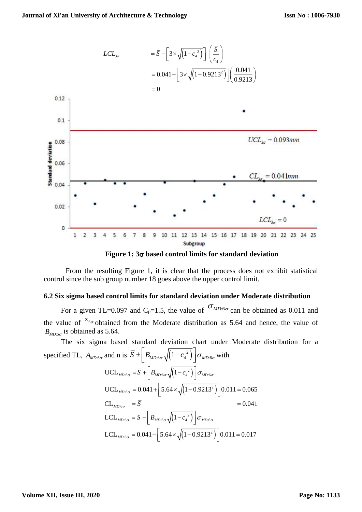

**Figure 1: 3 based control limits for standard deviation**

From the resulting Figure 1, it is clear that the process does not exhibit statistical control since the sub group number 18 goes above the upper control limit.

## **6.2 Six sigma based control limits for standard deviation under Moderate distribution**

For a given TL=0.097 and C<sub>p</sub>=1.5, the value of  $\sigma_{MD:6\sigma}$  can be obtained as 0.011 and the value of  $z_{6\sigma}$  obtained from the Moderate distribution as 5.64 and hence, the value of  $B_{MD:6\sigma}$  is obtained as 5.64.

The six sigma based standard deviation chart under Moderate distribution for a specified TL,  $A_{MD:6\sigma}$  and n is  $\overline{S} \pm \left| B_{MD:6\sigma} \sqrt{(1 - c_4^2)} \right|$  $\overline{S} \pm \left[ B_{MD:6\sigma} \sqrt{\left(1 - c_4^2\right)} \right] \sigma_{MD:6\sigma}$  w with  $\text{UCL}_{\textit{MD:6\sigma}} = \overline{S} + \left| B_{\textit{MD:6\sigma}} \sqrt{\left(1\!-\!c_{\textit{4}}^{\text{ 2}}\right)} \right. \left| \sigma_{\textit{MD:6\sigma}} \right.$  $\text{UCL}_{MD:6\sigma} = 0.041 + \left[ 5.64 \times \sqrt{\left(1 - 0.9213^2\right)} \right] 0.011 = 0.065$  ${\rm LCL}_{_{MD: 6\sigma}} = \overline S - \left\vert \right. B_{_{MD: 6\sigma}} \sqrt{\left(1 - {c_4}^2\right)} \, \left\vert \sigma_{_{MD: 6\sigma}} \right\vert$ LCL<sub>MD:6 $\sigma$ </sub> = 0.041 –  $\left[5.64 \times \sqrt{(1 - 0.9213^2)}\right]$  0.011 = 0.017  $CL_{MD:6\sigma} = S$   $= 0.041$  $=\overline{S}+\left[B_{MD:6\sigma}\sqrt{\left(1-c_A^{-2}\right)}\,\right]$  $=$   $\mathbf{S}$   $=$  $=\overline{S}-\left[\,B_{\scriptscriptstyle MD:6\sigma}\sqrt{\left(1-{c_{\scriptscriptstyle 4}}^2\right)}\,\right]$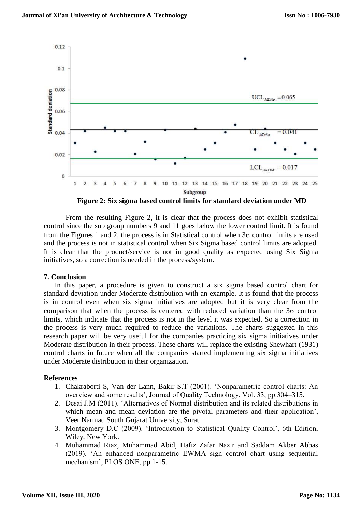

**Figure 2: Six sigma based control limits for standard deviation under MD**

From the resulting Figure 2, it is clear that the process does not exhibit statistical control since the sub group numbers 9 and 11 goes below the lower control limit. It is found from the Figures 1 and 2, the process is in Statistical control when  $3\sigma$  control limits are used and the process is not in statistical control when Six Sigma based control limits are adopted. It is clear that the product/service is not in good quality as expected using Six Sigma initiatives, so a correction is needed in the process/system.

#### **7. Conclusion**

In this paper, a procedure is given to construct a six sigma based control chart for standard deviation under Moderate distribution with an example. It is found that the process is in control even when six sigma initiatives are adopted but it is very clear from the comparison that when the process is centered with reduced variation than the  $3\sigma$  control limits, which indicate that the process is not in the level it was expected. So a correction in the process is very much required to reduce the variations. The charts suggested in this research paper will be very useful for the companies practicing six sigma initiatives under Moderate distribution in their process. These charts will replace the existing Shewhart (1931) control charts in future when all the companies started implementing six sigma initiatives under Moderate distribution in their organization.

#### **References**

- 1. Chakraborti S, Van der Lann, Bakir S.T (2001). 'Nonparametric control charts: An overview and some results', Journal of Quality Technology, Vol. 33, pp.304–315.
- 2. Desai J.M (2011). 'Alternatives of Normal distribution and its related distributions in which mean and mean deviation are the pivotal parameters and their application', Veer Narmad South Gujarat University, Surat.
- 3. Montgomery D.C (2009). 'Introduction to Statistical Quality Control', 6th Edition, Wiley, New York.
- 4. Muhammad Riaz, Muhammad Abid, Hafiz Zafar Nazir and Saddam Akber Abbas (2019). 'An enhanced nonparametric EWMA sign control chart using sequential mechanism', PLOS ONE, pp.1-15.